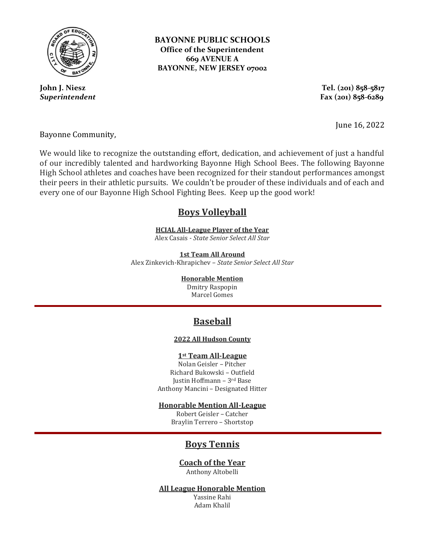

**John J. Niesz**  *Superintendent* **BAYONNE PUBLIC SCHOOLS Office of the Superintendent 669 AVENUE A BAYONNE, NEW JERSEY 07002**

> **Tel. (201) 858-5817 Fax (201) 858-6289**

> > June 16, 2022

Bayonne Community,

We would like to recognize the outstanding effort, dedication, and achievement of just a handful of our incredibly talented and hardworking Bayonne High School Bees. The following Bayonne High School athletes and coaches have been recognized for their standout performances amongst their peers in their athletic pursuits. We couldn't be prouder of these individuals and of each and every one of our Bayonne High School Fighting Bees. Keep up the good work!

## **Boys Volleyball**

**HCIAL All-League Player of the Year** Alex Casais - *State Senior Select All Star*

**1st Team All Around** Alex Zinkevich-Khrapichev – *State Senior Select All Star*

**Honorable Mention**

Dmitry Raspopin Marcel Gomes

# **Baseball**

#### **2022 All Hudson County**

#### **1st Team All-League**

Nolan Geisler – Pitcher Richard Bukowski – Outfield Justin Hoffmann – 3rd Base Anthony Mancini – Designated Hitter

**Honorable Mention All-League**

Robert Geisler – Catcher Braylin Terrero – Shortstop

# **Boys Tennis**

### **Coach of the Year**  Anthony Altobelli

**All League Honorable Mention** 

Yassine Rahi Adam Khalil